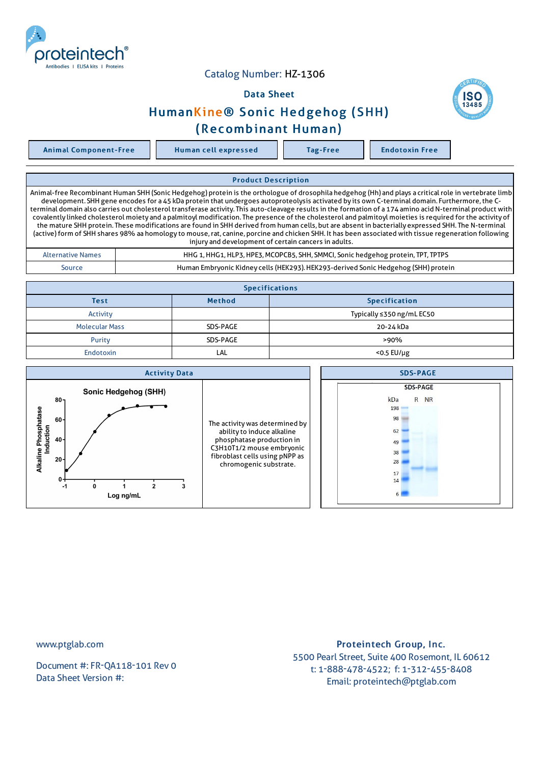

## Catalog Number: HZ-1306

## Data Sheet





## (Recombinant Human)

Animal Component-Free Human cell expressed Tag-Free Tag Endotoxin Free

Product Description Animal-free Recombinant Human SHH (Sonic Hedgehog) protein is the orthologue of drosophila hedgehog (Hh) and plays a critical role in vertebrate limb development. SHH gene encodes for a 45 kDa protein that undergoes autoproteolysis activated by its own C-terminal domain. Furthermore, the Cterminal domain also carries out cholesterol transferase activity. This auto-cleavage results in the formation of a 174 amino acid N-terminal product with covalently linked cholesterol moiety and a palmitoyl modification. The presence of the cholesterol and palmitoyl moieties is required for the activity of the mature SHH protein. These modifications are found in SHH derived from human cells, but are absent in bacterially expressed SHH. The N-terminal (active)form of SHH shares 98% aa homology to mouse,rat, canine, porcine and chicken SHH. It has been associated with tissue regeneration following injury and development of certain cancers in adults. Alternative Names **HHG1, HHG1, HHG1, HLP3, HPE3, MCOPCB5, SHH, SMMCI, Sonic hedgehog protein, TPT, TPTPS** Source Human Embryonic Kidney cells (HEK293).HEK293-derived Sonic Hedgehog (SHH) protein **Specifications** Test Specification **Method Container Specification** Activity Typically ≤350 ng/mL EC50 Molecular Mass **Note 20-24 kDa** SDS-PAGE 20-24 kDa

| <b>Endotoxin</b>                                                                                                                | LAL                                                                                                                                                                                | $<$ 0.5 EU/µg                                                                        |  |
|---------------------------------------------------------------------------------------------------------------------------------|------------------------------------------------------------------------------------------------------------------------------------------------------------------------------------|--------------------------------------------------------------------------------------|--|
| <b>Activity Data</b>                                                                                                            |                                                                                                                                                                                    | <b>SDS-PAGE</b>                                                                      |  |
| Sonic Hedgehog (SHH)<br>$80 -$<br>Phosphatase<br>$60 -$<br>Induction<br>$40 -$<br>Alkaline<br>$20 -$<br>0+<br>$-1$<br>Log ng/mL | The activity was determined by<br>ability to induce alkaline<br>phosphatase production in<br>C3H10T1/2 mouse embryonic<br>fibroblast cells using pNPP as<br>chromogenic substrate. | <b>SDS-PAGE</b><br>R NR<br>kDa<br>198<br>98<br>62<br>49<br>38<br>28<br>17<br>14<br>6 |  |

Purity **SDS-PAGE Purity SOS-PAGE Purity SOS-PAGE** 

www.ptglab.com

Document #: FR-QA118-101 Rev 0 Data Sheet Version #:

Proteintech Group, Inc. 5500 Pearl Street, Suite 400 Rosemont, IL 60612 t: 1-888-478-4522; f: 1-312-455-8408 Email: proteintech@ptglab.com